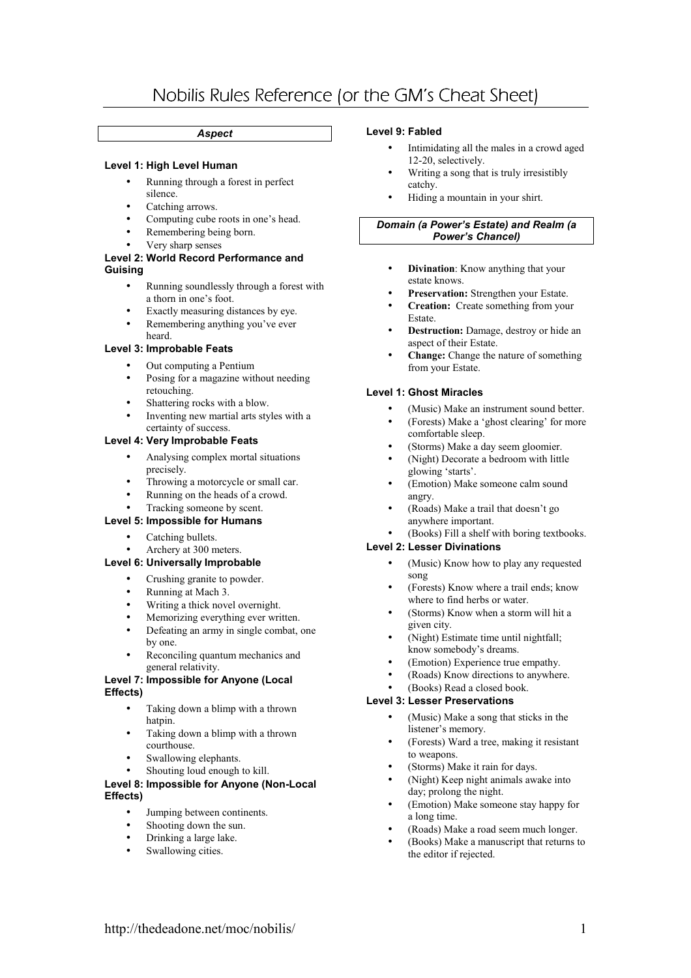# Nobilis Rules Reference (or the GM's Cheat Sheet)

# *Aspect*

# **Level 1: High Level Human**

- Running through a forest in perfect silence.
- Catching arrows.
- Computing cube roots in one's head.
- Remembering being born.
- Very sharp senses

#### **Level 2: World Record Performance and Guising**

- Running soundlessly through a forest with a thorn in one's foot.
- Exactly measuring distances by eye.
- Remembering anything you've ever heard.

# **Level 3: Improbable Feats**

- Out computing a Pentium
- Posing for a magazine without needing retouching.
- Shattering rocks with a blow.
- Inventing new martial arts styles with a certainty of success.

# **Level 4: Very Improbable Feats**

- Analysing complex mortal situations precisely.
- Throwing a motorcycle or small car.
- Running on the heads of a crowd.

# Tracking someone by scent.

- **Level 5: Impossible for Humans** 
	- Catching bullets.
	- Archery at 300 meters.

# **Level 6: Universally Improbable**

- Crushing granite to powder.
- Running at Mach 3.
- Writing a thick novel overnight.
- Memorizing everything ever written.
- Defeating an army in single combat, one by one.
- Reconciling quantum mechanics and general relativity.

#### **Level 7: Impossible for Anyone (Local Effects)**

- Taking down a blimp with a thrown hatpin.
- Taking down a blimp with a thrown courthouse.
- Swallowing elephants.
- Shouting loud enough to kill.

#### **Level 8: Impossible for Anyone (Non-Local Effects)**

- Jumping between continents.
- Shooting down the sun.
- Drinking a large lake.
- Swallowing cities.

### **Level 9: Fabled**

- Intimidating all the males in a crowd aged 12-20, selectively.
- Writing a song that is truly irresistibly catchy.
- Hiding a mountain in your shirt.

#### *Domain (a Power's Estate) and Realm (a Power's Chancel)*

- **Divination**: Know anything that your estate knows.
- **Preservation:** Strengthen your Estate.
- **Creation:** Create something from your Estate.
- **Destruction:** Damage, destroy or hide an aspect of their Estate.
- **Change:** Change the nature of something from your Estate.

#### **Level 1: Ghost Miracles**

- (Music) Make an instrument sound better.
- (Forests) Make a 'ghost clearing' for more comfortable sleep.
- (Storms) Make a day seem gloomier.
- (Night) Decorate a bedroom with little glowing 'starts'.
- (Emotion) Make someone calm sound angry.
- (Roads) Make a trail that doesn't go anywhere important.

#### • (Books) Fill a shelf with boring textbooks. **Level 2: Lesser Divinations**

- (Music) Know how to play any requested song
- (Forests) Know where a trail ends; know where to find herbs or water.
- (Storms) Know when a storm will hit a given city.
- (Night) Estimate time until nightfall; know somebody's dreams.
- (Emotion) Experience true empathy.
- (Roads) Know directions to anywhere.
- (Books) Read a closed book.

#### **Level 3: Lesser Preservations**

- (Music) Make a song that sticks in the listener's memory.
- (Forests) Ward a tree, making it resistant to weapons.
- (Storms) Make it rain for days.
- (Night) Keep night animals awake into day; prolong the night.
- (Emotion) Make someone stay happy for a long time.
- (Roads) Make a road seem much longer.
- (Books) Make a manuscript that returns to the editor if rejected.